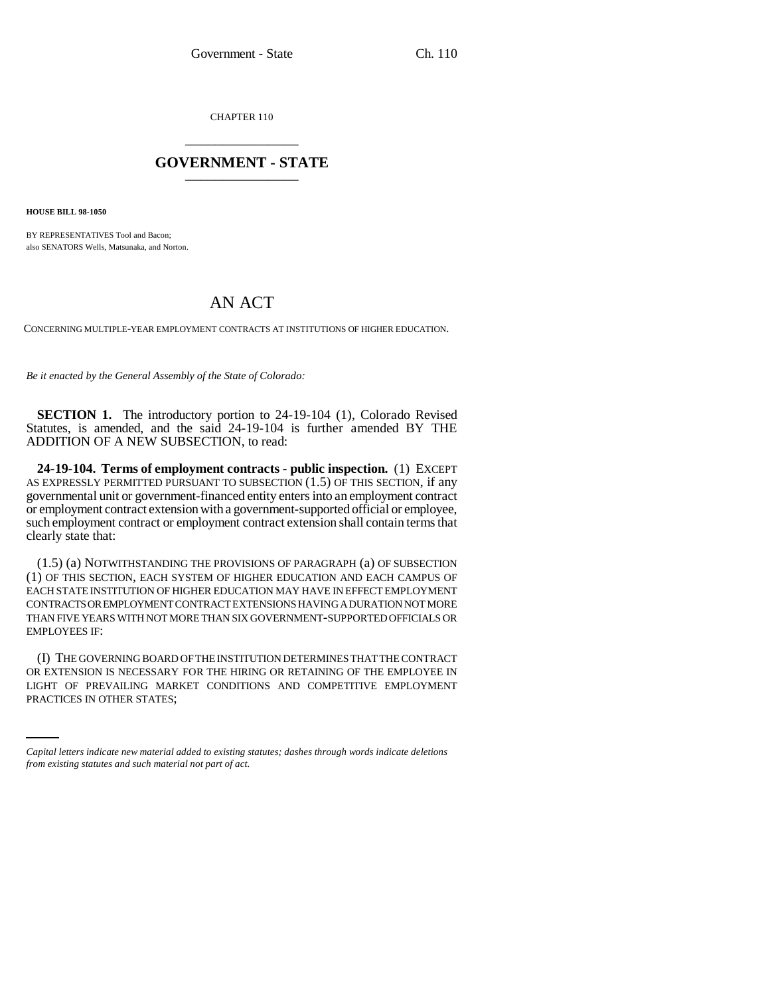CHAPTER 110 \_\_\_\_\_\_\_\_\_\_\_\_\_\_\_

## **GOVERNMENT - STATE** \_\_\_\_\_\_\_\_\_\_\_\_\_\_\_

**HOUSE BILL 98-1050**

BY REPRESENTATIVES Tool and Bacon; also SENATORS Wells, Matsunaka, and Norton.

## AN ACT

CONCERNING MULTIPLE-YEAR EMPLOYMENT CONTRACTS AT INSTITUTIONS OF HIGHER EDUCATION.

*Be it enacted by the General Assembly of the State of Colorado:*

**SECTION 1.** The introductory portion to 24-19-104 (1), Colorado Revised Statutes, is amended, and the said 24-19-104 is further amended BY THE ADDITION OF A NEW SUBSECTION, to read:

**24-19-104. Terms of employment contracts - public inspection.** (1) EXCEPT AS EXPRESSLY PERMITTED PURSUANT TO SUBSECTION (1.5) OF THIS SECTION, if any governmental unit or government-financed entity enters into an employment contract or employment contract extension with a government-supported official or employee, such employment contract or employment contract extension shall contain terms that clearly state that:

(1.5) (a) NOTWITHSTANDING THE PROVISIONS OF PARAGRAPH (a) OF SUBSECTION (1) OF THIS SECTION, EACH SYSTEM OF HIGHER EDUCATION AND EACH CAMPUS OF EACH STATE INSTITUTION OF HIGHER EDUCATION MAY HAVE IN EFFECT EMPLOYMENT CONTRACTS OR EMPLOYMENT CONTRACT EXTENSIONS HAVING A DURATION NOT MORE THAN FIVE YEARS WITH NOT MORE THAN SIX GOVERNMENT-SUPPORTED OFFICIALS OR EMPLOYEES IF:

OR EXTENSION IS NECESSARY FOR THE HIRING OR RETAINING OF THE EMPLOYEE IN (I) THE GOVERNING BOARD OF THE INSTITUTION DETERMINES THAT THE CONTRACT LIGHT OF PREVAILING MARKET CONDITIONS AND COMPETITIVE EMPLOYMENT PRACTICES IN OTHER STATES;

*Capital letters indicate new material added to existing statutes; dashes through words indicate deletions from existing statutes and such material not part of act.*